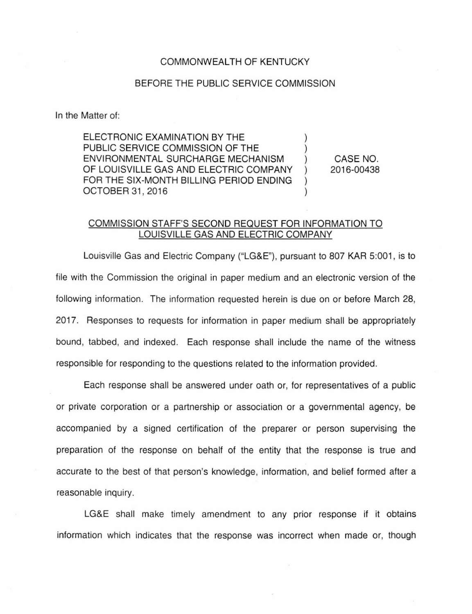## COMMONWEALTH OF KENTUCKY

## BEFORE THE PUBLIC SERVICE COMMISSION

In the Matter of:

ELECTRONIC EXAMINATION BY THE PUBLIC SERVICE COMMISSION OF THE ENVIRONMENTAL SURCHARGE MECHANISM OF LOUISVILLE GAS AND ELECTRIC COMPANY FOR THE SIX-MONTH BILLING PERIOD ENDING OCTOBER 31,2016

CASE NO. 2016-00438

## COMMISSION STAFF'S SECOND REQUEST FOR INFORMATION TO LOUISVILLE GAS AND ELECTRIC COMPANY

Louisville Gas and Electric Company ("LG&E"), pursuant to 807 KAR 5:001, is to file with the Commission the original in paper medium and an electronic version of the following information. The information requested herein is due on or before March 28, 2017. Responses to requests for information in paper medium shall be appropriately bound, tabbed, and indexed. Each response shall include the name of the witness responsible for responding to the questions related to the information provided.

Each response shall be answered under oath or, for representatives of a public or private corporation or a partnership or association or a governmental agency, be accompanied by a signed certification of the preparer or person supervising the preparation of the response on behalf of the entity that the response is true and accurate to the best of that person's knowledge, information, and belief formed after a reasonable inquiry.

LG&E shall make timely amendment to any prior response if it obtains information which indicates that the response was incorrect when made or, though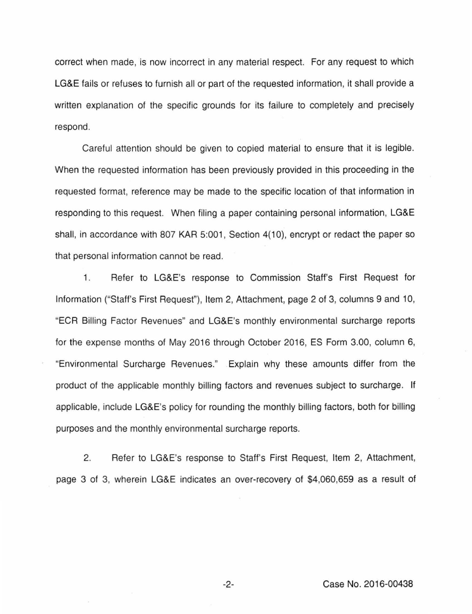correct when made, is now incorrect in any material respect. For any request to which LG&E fails or refuses to furnish all or part of the requested information, it shall provide a written explanation of the specific grounds for its failure to completely and precisely respond.

Careful attention should be given to copied material to ensure that it is legible. When the requested information has been previously provided in this proceeding in the requested format, reference may be made to the specific location of that information in responding to this request. When filing a paper containing personal information, LG&E shall, in accordance with 807 KAR 5:001, Section 4(10), encrypt or redact the paper so that personal information cannot be read.

1. Refer to LG&E's response to Commission Staff's First Request for Information ("Staff's First Request"), Item 2, Attachment, page 2 of 3, columns 9 and 10, "ECR Billing Factor Revenues" and LG&E's monthly environmental surcharge reports for the expense months of May 2016 through October 2016, ES Form 3.00, column 6, "Environmental Surcharge Revenues." Explain why these amounts differ from the product of the applicable monthly billing factors and revenues subject to surcharge. If applicable, include LG&E's policy for rounding the monthly billing factors, both for billing purposes and the monthly environmental surcharge reports.

2. Refer to LG&E's response to Staff's First Request, Item 2, Attachment, page 3 of 3, wherein LG&E indicates an over-recovery of \$4,060,659 as a result of

-2- Case No. 2016-00438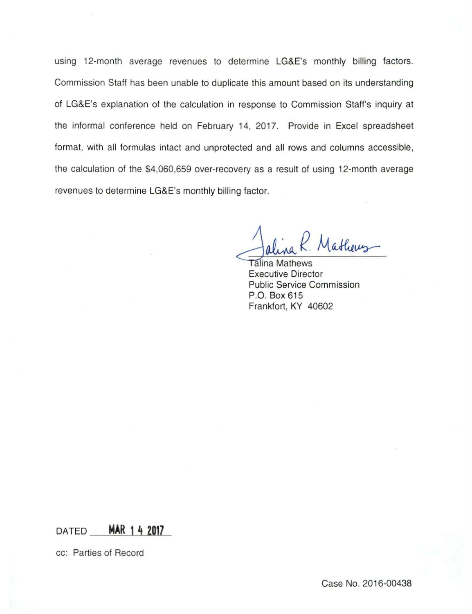using 12-month average revenues to determine LG&E's monthly billing factors. Commission Staff has been unable to duplicate this amount based on its understanding of LG&E's explanation of the calculation in response to Commission Staff's inquiry at the informal conference held on February 14, 2017. Provide in Excel spreadsheet format, with all formulas intact and unprotected and all rows and columns accessible, the calculation of the \$4,060,659 over-recovery as a result of using 12-month average revenues to determine LG&E's monthly billing factor.

Mathews-

**Talina Mathews** Executive Director Public Service Commission P.O. Box 615 Frankfort, KY 40602

**DATED MAR 1 4 2017** 

cc: Parties of Record